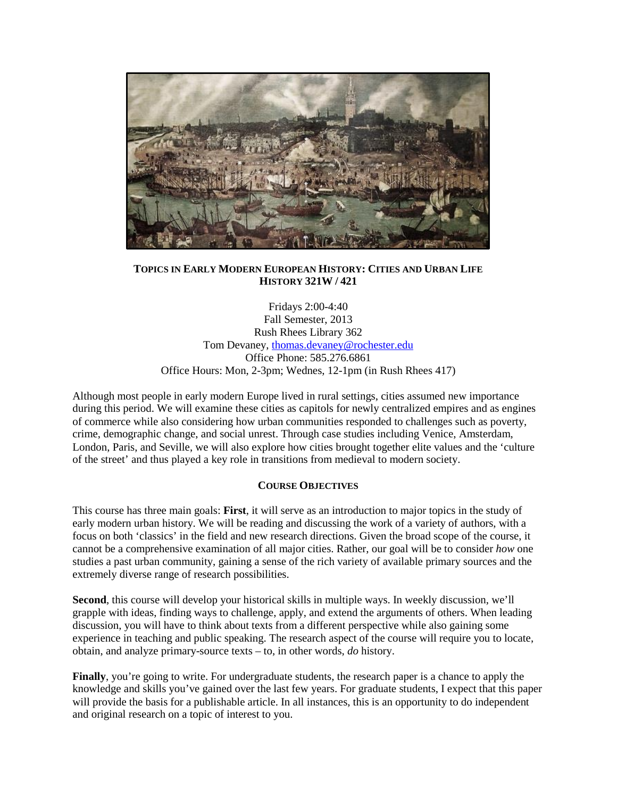

# **TOPICS IN EARLY MODERN EUROPEAN HISTORY: CITIES AND URBAN LIFE HISTORY 321W / 421**

Fridays 2:00-4:40 Fall Semester, 2013 Rush Rhees Library 362 Tom Devaney, [thomas.devaney@rochester.edu](mailto:thomas.devaney@rochester.edu) Office Phone: 585.276.6861 Office Hours: Mon, 2-3pm; Wednes, 12-1pm (in Rush Rhees 417)

Although most people in early modern Europe lived in rural settings, cities assumed new importance during this period. We will examine these cities as capitols for newly centralized empires and as engines of commerce while also considering how urban communities responded to challenges such as poverty, crime, demographic change, and social unrest. Through case studies including Venice, Amsterdam, London, Paris, and Seville, we will also explore how cities brought together elite values and the 'culture of the street' and thus played a key role in transitions from medieval to modern society.

# **COURSE OBJECTIVES**

This course has three main goals: **First**, it will serve as an introduction to major topics in the study of early modern urban history. We will be reading and discussing the work of a variety of authors, with a focus on both 'classics' in the field and new research directions. Given the broad scope of the course, it cannot be a comprehensive examination of all major cities. Rather, our goal will be to consider *how* one studies a past urban community, gaining a sense of the rich variety of available primary sources and the extremely diverse range of research possibilities.

**Second**, this course will develop your historical skills in multiple ways. In weekly discussion, we'll grapple with ideas, finding ways to challenge, apply, and extend the arguments of others. When leading discussion, you will have to think about texts from a different perspective while also gaining some experience in teaching and public speaking. The research aspect of the course will require you to locate, obtain, and analyze primary-source texts – to, in other words, *do* history.

**Finally**, you're going to write. For undergraduate students, the research paper is a chance to apply the knowledge and skills you've gained over the last few years. For graduate students, I expect that this paper will provide the basis for a publishable article. In all instances, this is an opportunity to do independent and original research on a topic of interest to you.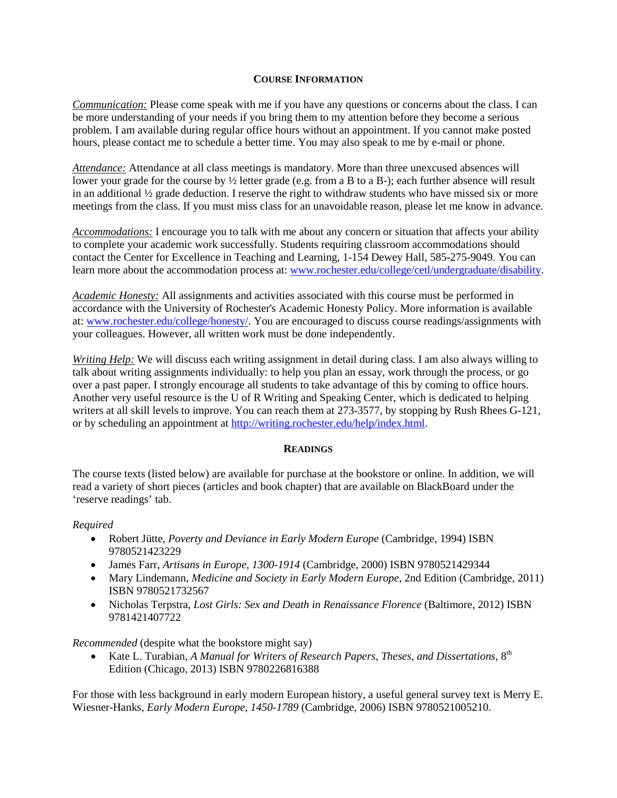### **COURSE INFORMATION**

*Communication:* Please come speak with me if you have any questions or concerns about the class. I can be more understanding of your needs if you bring them to my attention before they become a serious problem. I am available during regular office hours without an appointment. If you cannot make posted hours, please contact me to schedule a better time. You may also speak to me by e-mail or phone.

*Attendance:* Attendance at all class meetings is mandatory. More than three unexcused absences will lower your grade for the course by ½ letter grade (e.g. from a B to a B-); each further absence will result in an additional ½ grade deduction. I reserve the right to withdraw students who have missed six or more meetings from the class. If you must miss class for an unavoidable reason, please let me know in advance.

*Accommodations:* I encourage you to talk with me about any concern or situation that affects your ability to complete your academic work successfully. Students requiring classroom accommodations should contact the Center for Excellence in Teaching and Learning, 1-154 Dewey Hall, 585-275-9049. You can learn more about the accommodation process at: [www.rochester.edu/college/cetl/undergraduate/disability.](http://www.rochester.edu/college/cetl/undergraduate/disability)

*Academic Honesty:* All assignments and activities associated with this course must be performed in accordance with the University of Rochester's Academic Honesty Policy. More information is available at[: www.rochester.edu/college/honesty/.](http://www.rochester.edu/college/honesty/) You are encouraged to discuss course readings/assignments with your colleagues. However, all written work must be done independently.

*Writing Help:* We will discuss each writing assignment in detail during class. I am also always willing to talk about writing assignments individually: to help you plan an essay, work through the process, or go over a past paper. I strongly encourage all students to take advantage of this by coming to office hours. Another very useful resource is the U of R Writing and Speaking Center, which is dedicated to helping writers at all skill levels to improve. You can reach them at 273-3577, by stopping by Rush Rhees G-121, or by scheduling an appointment at [http://writing.rochester.edu/help/index.html.](http://writing.rochester.edu/help/index.html)

# **READINGS**

The course texts (listed below) are available for purchase at the bookstore or online. In addition, we will read a variety of short pieces (articles and book chapter) that are available on BlackBoard under the 'reserve readings' tab.

# *Required*

- Robert Jütte, *Poverty and Deviance in Early Modern Europe* (Cambridge, 1994) ISBN 9780521423229
- James Farr, *Artisans in Europe, 1300-1914* (Cambridge, 2000) ISBN 9780521429344
- Mary Lindemann, *Medicine and Society in Early Modern Europe*, 2nd Edition (Cambridge, 2011) ISBN 9780521732567
- Nicholas Terpstra, *Lost Girls: Sex and Death in Renaissance Florence* (Baltimore, 2012) ISBN 9781421407722

*Recommended* (despite what the bookstore might say)

• Kate L. Turabian, *A Manual for Writers of Research Papers, Theses, and Dissertations*,  $8^{th}$ Edition (Chicago, 2013) ISBN 9780226816388

For those with less background in early modern European history, a useful general survey text is Merry E. Wiesner-Hanks, *Early Modern Europe, 1450-1789* (Cambridge, 2006) ISBN 9780521005210.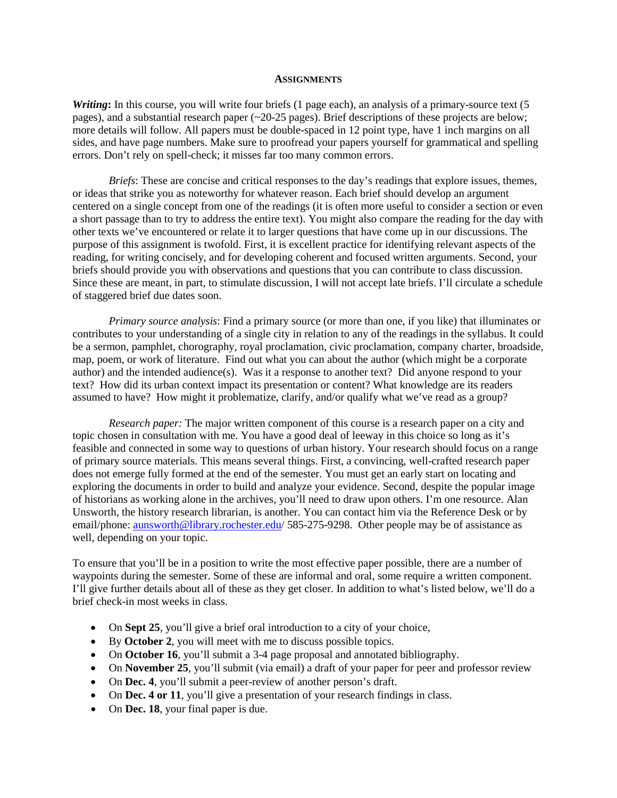#### **ASSIGNMENTS**

*Writing*: In this course, you will write four briefs (1 page each), an analysis of a primary-source text (5 pages), and a substantial research paper (~20-25 pages). Brief descriptions of these projects are below; more details will follow. All papers must be double-spaced in 12 point type, have 1 inch margins on all sides, and have page numbers. Make sure to proofread your papers yourself for grammatical and spelling errors. Don't rely on spell-check; it misses far too many common errors.

*Briefs*: These are concise and critical responses to the day's readings that explore issues, themes, or ideas that strike you as noteworthy for whatever reason. Each brief should develop an argument centered on a single concept from one of the readings (it is often more useful to consider a section or even a short passage than to try to address the entire text). You might also compare the reading for the day with other texts we've encountered or relate it to larger questions that have come up in our discussions. The purpose of this assignment is twofold. First, it is excellent practice for identifying relevant aspects of the reading, for writing concisely, and for developing coherent and focused written arguments. Second, your briefs should provide you with observations and questions that you can contribute to class discussion. Since these are meant, in part, to stimulate discussion, I will not accept late briefs. I'll circulate a schedule of staggered brief due dates soon.

*Primary source analysis*: Find a primary source (or more than one, if you like) that illuminates or contributes to your understanding of a single city in relation to any of the readings in the syllabus. It could be a sermon, pamphlet, chorography, royal proclamation, civic proclamation, company charter, broadside, map, poem, or work of literature. Find out what you can about the author (which might be a corporate author) and the intended audience(s). Was it a response to another text? Did anyone respond to your text? How did its urban context impact its presentation or content? What knowledge are its readers assumed to have? How might it problematize, clarify, and/or qualify what we've read as a group?

*Research paper:* The major written component of this course is a research paper on a city and topic chosen in consultation with me. You have a good deal of leeway in this choice so long as it's feasible and connected in some way to questions of urban history. Your research should focus on a range of primary source materials. This means several things. First, a convincing, well-crafted research paper does not emerge fully formed at the end of the semester. You must get an early start on locating and exploring the documents in order to build and analyze your evidence. Second, despite the popular image of historians as working alone in the archives, you'll need to draw upon others. I'm one resource. Alan Unsworth, the history research librarian, is another. You can contact him via the Reference Desk or by email/phone: aunsworth@library.rochester.edu/ 585-275-9298. Other people may be of assistance as well, depending on your topic.

To ensure that you'll be in a position to write the most effective paper possible, there are a number of waypoints during the semester. Some of these are informal and oral, some require a written component. I'll give further details about all of these as they get closer. In addition to what's listed below, we'll do a brief check-in most weeks in class.

- On **Sept 25**, you'll give a brief oral introduction to a city of your choice,
- By **October 2**, you will meet with me to discuss possible topics.
- On **October 16**, you'll submit a 3-4 page proposal and annotated bibliography.
- On **November 25**, you'll submit (via email) a draft of your paper for peer and professor review
- On **Dec. 4**, you'll submit a peer-review of another person's draft.
- On **Dec. 4 or 11**, you'll give a presentation of your research findings in class.
- On **Dec. 18**, your final paper is due.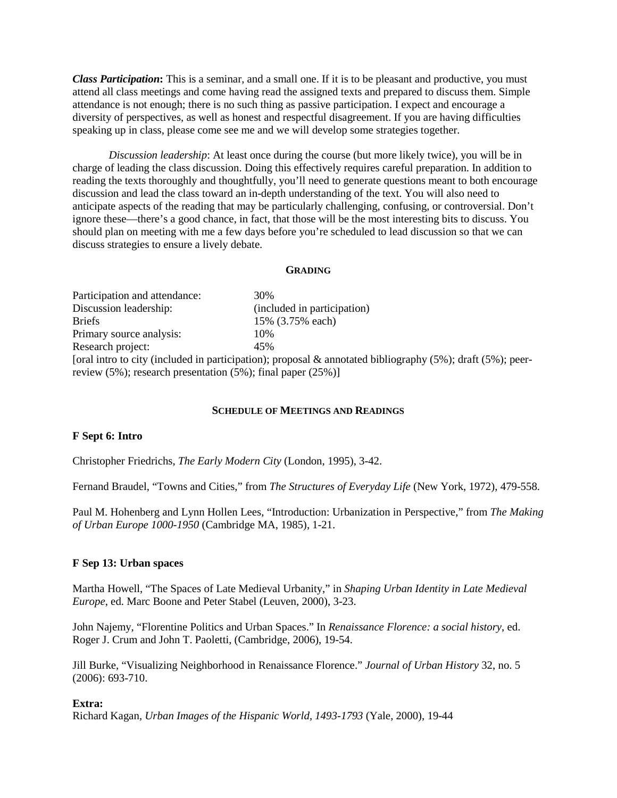*Class Participation***:** This is a seminar, and a small one. If it is to be pleasant and productive, you must attend all class meetings and come having read the assigned texts and prepared to discuss them. Simple attendance is not enough; there is no such thing as passive participation. I expect and encourage a diversity of perspectives, as well as honest and respectful disagreement. If you are having difficulties speaking up in class, please come see me and we will develop some strategies together.

*Discussion leadership*: At least once during the course (but more likely twice), you will be in charge of leading the class discussion. Doing this effectively requires careful preparation. In addition to reading the texts thoroughly and thoughtfully, you'll need to generate questions meant to both encourage discussion and lead the class toward an in-depth understanding of the text. You will also need to anticipate aspects of the reading that may be particularly challenging, confusing, or controversial. Don't ignore these—there's a good chance, in fact, that those will be the most interesting bits to discuss. You should plan on meeting with me a few days before you're scheduled to lead discussion so that we can discuss strategies to ensure a lively debate.

#### **GRADING**

Participation and attendance: 30% Discussion leadership: (included in participation) Briefs 15% (3.75% each) Primary source analysis: 10% Research project: 45% [oral intro to city (included in participation); proposal & annotated bibliography (5%); draft (5%); peerreview (5%); research presentation  $(5\%)$ ; final paper (25%)]

### **SCHEDULE OF MEETINGS AND READINGS**

### **F Sept 6: Intro**

Christopher Friedrichs, *The Early Modern City* (London, 1995), 3-42.

Fernand Braudel, "Towns and Cities," from *The Structures of Everyday Life* (New York, 1972), 479-558.

Paul M. Hohenberg and Lynn Hollen Lees, "Introduction: Urbanization in [Perspective,](http://www.history.umd.edu/Faculty/BCooperman/EarModCity/Hoh-Leesintro.pdf)" from *The Making of Urban Europe 1000-1950* (Cambridge MA, 1985), 1-21.

### **F Sep 13: Urban spaces**

Martha Howell, "The Spaces of Late Medieval Urbanity," in *Shaping Urban Identity in Late Medieval Europe*, ed. Marc Boone and Peter Stabel (Leuven, 2000), 3-23.

John Najemy, "Florentine Politics and Urban Spaces." In *Renaissance Florence: a social history*, ed. Roger J. Crum and John T. Paoletti, (Cambridge, 2006), 19-54.

Jill Burke, "Visualizing Neighborhood in Renaissance Florence." *Journal of Urban History* 32, no. 5 (2006): 693-710.

### **Extra:**

Richard Kagan, *Urban Images of the Hispanic World*, *1493-1793* (Yale, 2000), 19-44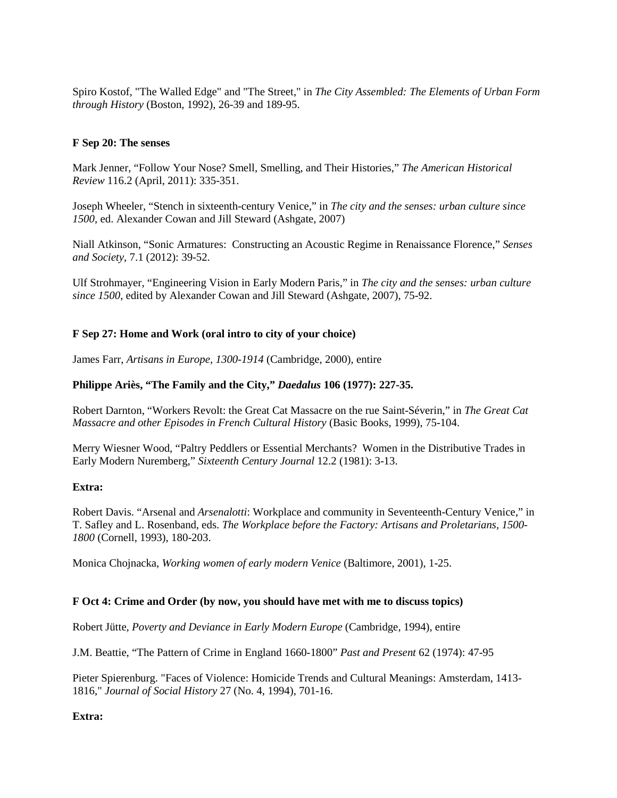Spiro Kostof, "The Walled Edge" and "The Street," in *The City Assembled: The Elements of Urban Form through History* (Boston, 1992), 26-39 and 189-95.

### **F Sep 20: The senses**

Mark Jenner, "Follow Your Nose? Smell, Smelling, and Their Histories," *The American Historical Review* 116.2 (April, 2011): 335-351.

Joseph Wheeler, "Stench in sixteenth-century Venice," in *The city and the senses: urban culture since 1500*, ed. Alexander Cowan and Jill Steward (Ashgate, 2007)

Niall Atkinson, "Sonic Armatures: Constructing an Acoustic Regime in Renaissance Florence," *Senses and Society*, 7.1 (2012): 39-52.

Ulf Strohmayer, "Engineering Vision in Early Modern Paris," in *The city and the senses: urban culture since 1500*, edited by Alexander Cowan and Jill Steward (Ashgate, 2007), 75-92.

# **F Sep 27: Home and Work (oral intro to city of your choice)**

James Farr, *Artisans in Europe, 1300-1914* (Cambridge, 2000), entire

### **Philippe Ariès, "The Family and the City,"** *Daedalus* **106 (1977): 227-35.**

Robert Darnton, "Workers Revolt: the Great Cat Massacre on the rue Saint-Séverin," in *The Great Cat Massacre and other Episodes in French Cultural History* (Basic Books, 1999), 75-104.

Merry Wiesner Wood, "Paltry Peddlers or Essential Merchants? Women in the Distributive Trades in Early Modern Nuremberg," *Sixteenth Century Journal* 12.2 (1981): 3-13.

### **Extra:**

Robert Davis. "Arsenal and *Arsenalotti*: Workplace and community in Seventeenth-Century Venice," in T. Safley and L. Rosenband, eds. *The Workplace before the Factory: Artisans and Proletarians, 1500- 1800* (Cornell, 1993), 180-203.

Monica Chojnacka, *Working women of early modern Venice* (Baltimore, 2001), 1-25.

### **F Oct 4: Crime and Order (by now, you should have met with me to discuss topics)**

Robert Jütte, *Poverty and Deviance in Early Modern Europe* (Cambridge, 1994), entire

J.M. Beattie, "The Pattern of Crime in England 1660-1800" *Past and Present* 62 (1974): 47-95

Pieter Spierenburg. "Faces of Violence: Homicide Trends and Cultural Meanings: Amsterdam, 1413- 1816," *Journal of Social History* 27 (No. 4, 1994), 701-16.

**Extra:**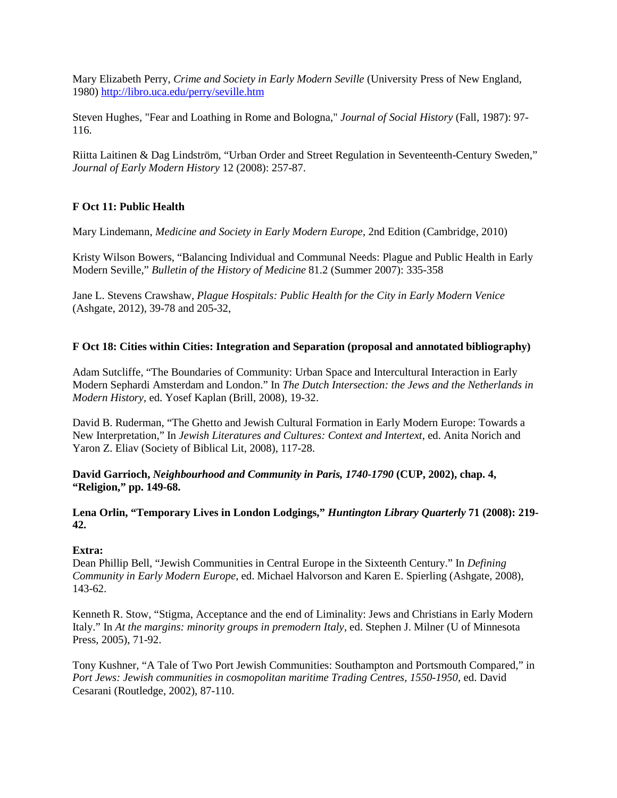Mary Elizabeth Perry, *Crime and Society in Early Modern Seville* (University Press of New England, 1980) <http://libro.uca.edu/perry/seville.htm>

Steven Hughes, "Fear and Loathing in Rome and Bologna," *Journal of Social History* (Fall, 1987): 97- 116.

Riitta Laitinen & Dag Lindström, "Urban Order and Street Regulation in Seventeenth-Century Sweden," *Journal of Early Modern History* 12 (2008): 257-87.

# **F Oct 11: Public Health**

Mary Lindemann, *Medicine and Society in Early Modern Europe*, 2nd Edition (Cambridge, 2010)

Kristy Wilson Bowers, "Balancing Individual and Communal Needs: Plague and Public Health in Early Modern Seville," *Bulletin of the History of Medicine* 81.2 (Summer 2007): 335-358

Jane L. Stevens Crawshaw, *Plague Hospitals: Public Health for the City in Early Modern Venice* (Ashgate, 2012), 39-78 and 205-32,

# **F Oct 18: Cities within Cities: Integration and Separation (proposal and annotated bibliography)**

Adam Sutcliffe, "The Boundaries of Community: Urban Space and Intercultural Interaction in Early Modern Sephardi Amsterdam and London." In *The Dutch Intersection: the Jews and the Netherlands in Modern History*, ed. Yosef Kaplan (Brill, 2008), 19-32.

David B. Ruderman, "The Ghetto and Jewish Cultural Formation in Early Modern Europe: Towards a New Interpretation," In *Jewish Literatures and Cultures: Context and Intertext*, ed. Anita Norich and Yaron Z. Eliav (Society of Biblical Lit, 2008), 117-28.

**David Garrioch,** *Neighbourhood and Community in Paris, 1740-1790* **(CUP, 2002), chap. 4, "Religion," pp. 149-68.**

**Lena Orlin, "Temporary Lives in London Lodgings,"** *Huntington Library Quarterly* **71 (2008): 219- 42.**

# **Extra:**

Dean Phillip Bell, "Jewish Communities in Central Europe in the Sixteenth Century." In *Defining Community in Early Modern Europe*, ed. Michael Halvorson and Karen E. Spierling (Ashgate, 2008), 143-62.

Kenneth R. Stow, "Stigma, Acceptance and the end of Liminality: Jews and Christians in Early Modern Italy." In *At the margins: minority groups in premodern Italy*, ed. Stephen J. Milner (U of Minnesota Press, 2005), 71-92.

Tony Kushner, "A Tale of Two Port Jewish Communities: Southampton and Portsmouth Compared," in *Port Jews: Jewish communities in cosmopolitan maritime Trading Centres, 1550-1950*, ed. David Cesarani (Routledge, 2002), 87-110.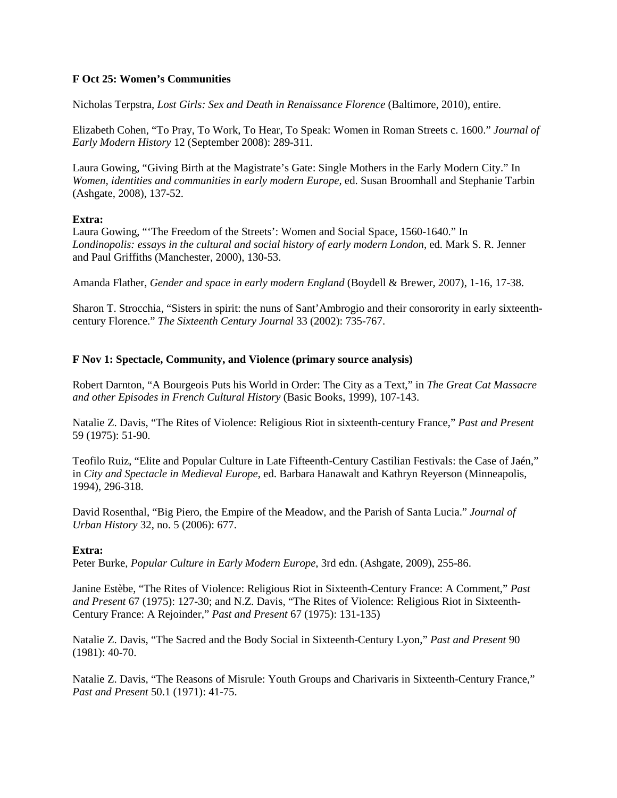## **F Oct 25: Women's Communities**

Nicholas Terpstra, *Lost Girls: Sex and Death in Renaissance Florence* (Baltimore, 2010), entire.

Elizabeth Cohen, "To Pray, To Work, To Hear, To Speak: Women in Roman Streets c. 1600." *Journal of Early Modern History* 12 (September 2008): 289-311.

Laura Gowing, "Giving Birth at the Magistrate's Gate: Single Mothers in the Early Modern City." In *Women, identities and communities in early modern Europe*, ed. Susan Broomhall and Stephanie Tarbin (Ashgate, 2008), 137-52.

### **Extra:**

Laura Gowing, "'The Freedom of the Streets': Women and Social Space, 1560-1640." In *Londinopolis: essays in the cultural and social history of early modern London*, ed. Mark S. R. Jenner and Paul Griffiths (Manchester, 2000), 130-53.

Amanda Flather, *Gender and space in early modern England* (Boydell & Brewer, 2007), 1-16, 17-38.

Sharon T. Strocchia, "Sisters in spirit: the nuns of Sant'Ambrogio and their consorority in early sixteenthcentury Florence." *The Sixteenth Century Journal* 33 (2002): 735-767.

## **F Nov 1: Spectacle, Community, and Violence (primary source analysis)**

Robert Darnton, "A Bourgeois Puts his World in Order: The City as a Text," in *The Great Cat Massacre and other Episodes in French Cultural History* (Basic Books, 1999), 107-143.

Natalie Z. Davis, "The Rites of Violence: Religious Riot in sixteenth-century France," *Past and Present* 59 (1975): 51-90.

Teofilo Ruiz, "Elite and Popular Culture in Late Fifteenth-Century Castilian Festivals: the Case of Jaén," in *City and Spectacle in Medieval Europe*, ed. Barbara Hanawalt and Kathryn Reyerson (Minneapolis, 1994), 296-318.

David Rosenthal, "Big Piero, the Empire of the Meadow, and the Parish of Santa Lucia." *Journal of Urban History* 32, no. 5 (2006): 677.

### **Extra:**

Peter Burke, *Popular Culture in Early Modern Europe*, 3rd edn. (Ashgate, 2009), 255-86.

Janine Estèbe, "The Rites of Violence: Religious Riot in Sixteenth-Century France: A Comment," *Past and Present* 67 (1975): 127-30; and N.Z. Davis, "The Rites of Violence: Religious Riot in Sixteenth-Century France: A Rejoinder," *Past and Present* 67 (1975): 131-135)

Natalie Z. Davis, "The Sacred and the Body Social in Sixteenth-Century Lyon," *Past and Present* 90 (1981): 40-70.

Natalie Z. Davis, "The Reasons of Misrule: Youth Groups and Charivaris in Sixteenth-Century France," *Past and Present* 50.1 (1971): 41-75.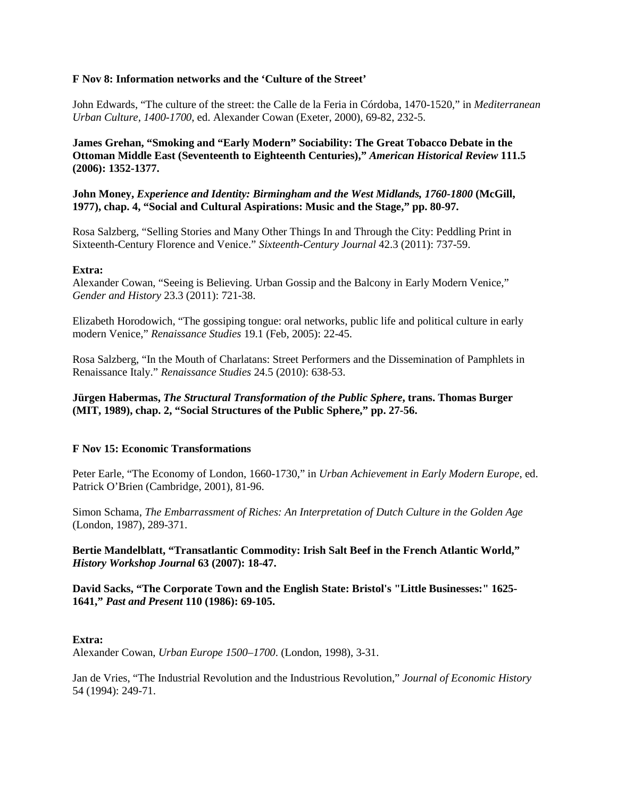### **F Nov 8: Information networks and the 'Culture of the Street'**

John Edwards, "The culture of the street: the Calle de la Feria in Córdoba, 1470-1520," in *Mediterranean Urban Culture, 1400-1700*, ed. Alexander Cowan (Exeter, 2000), 69-82, 232-5.

**James Grehan, "Smoking and "Early Modern" Sociability: The Great Tobacco Debate in the Ottoman Middle East (Seventeenth to Eighteenth Centuries),"** *American Historical Review* **111.5 (2006): 1352-1377.**

**John Money,** *Experience and Identity: Birmingham and the West Midlands, 1760-1800* **(McGill, 1977), chap. 4, "Social and Cultural Aspirations: Music and the Stage," pp. 80-97.**

Rosa Salzberg, "Selling Stories and Many Other Things In and Through the City: Peddling Print in Sixteenth-Century Florence and Venice." *Sixteenth-Century Journal* 42.3 (2011): 737-59.

### **Extra:**

Alexander Cowan, "Seeing is Believing. Urban Gossip and the Balcony in Early Modern Venice," *Gender and History* 23.3 (2011): 721-38.

Elizabeth Horodowich, "The gossiping tongue: oral networks, public life and political culture in early modern Venice," *Renaissance Studies* 19.1 (Feb, 2005): 22-45.

Rosa Salzberg, "In the Mouth of Charlatans: Street Performers and the Dissemination of Pamphlets in Renaissance Italy." *Renaissance Studies* 24.5 (2010): 638-53.

**Jürgen Habermas,** *The Structural Transformation of the Public Sphere***, trans. Thomas Burger (MIT, 1989), chap. 2, "Social Structures of the Public Sphere," pp. 27-56.**

# **F Nov 15: Economic Transformations**

Peter Earle, "The Economy of London, 1660-1730," in *Urban Achievement in Early Modern Europe*, ed. Patrick O'Brien (Cambridge, 2001), 81-96.

Simon Schama, *The Embarrassment of Riches: An Interpretation of Dutch Culture in the Golden Age* (London, 1987), 289-371.

### **Bertie Mandelblatt, "Transatlantic Commodity: Irish Salt Beef in the French Atlantic World,"**  *History Workshop Journal* **63 (2007): 18-47.**

## **David Sacks, "The Corporate Town and the English State: Bristol's "Little Businesses:" 1625- 1641,"** *Past and Present* **110 (1986): 69-105.**

### **Extra:**

Alexander Cowan, *Urban Europe 1500–1700*. (London, 1998), 3-31.

Jan de Vries, "The Industrial Revolution and the Industrious Revolution," *Journal of Economic History* 54 (1994): 249-71.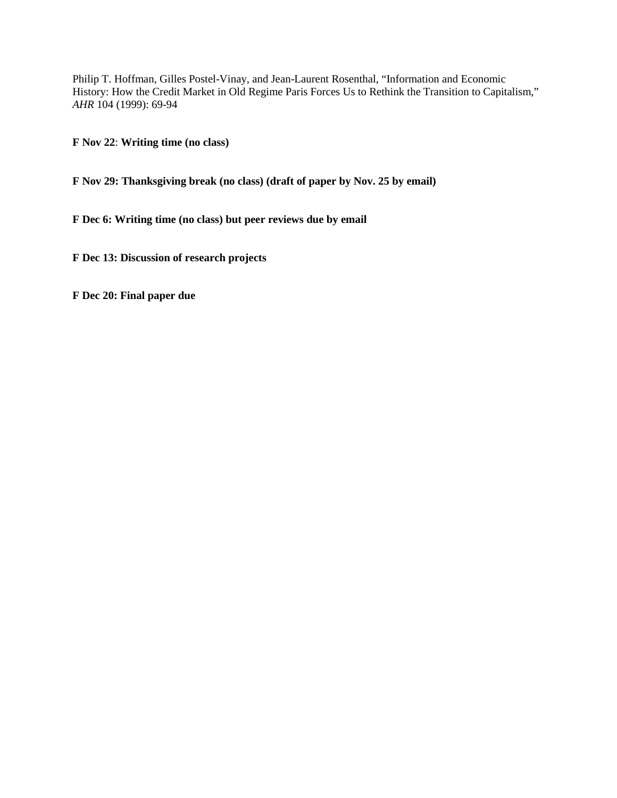Philip T. Hoffman, Gilles Postel-Vinay, and Jean-Laurent Rosenthal, "Information and Economic History: How the Credit Market in Old Regime Paris Forces Us to Rethink the Transition to Capitalism," *AHR* 104 (1999): 69-94

**F Nov 22**: **Writing time (no class)**

**F Nov 29: Thanksgiving break (no class) (draft of paper by Nov. 25 by email)**

**F Dec 6: Writing time (no class) but peer reviews due by email**

**F Dec 13: Discussion of research projects**

**F Dec 20: Final paper due**